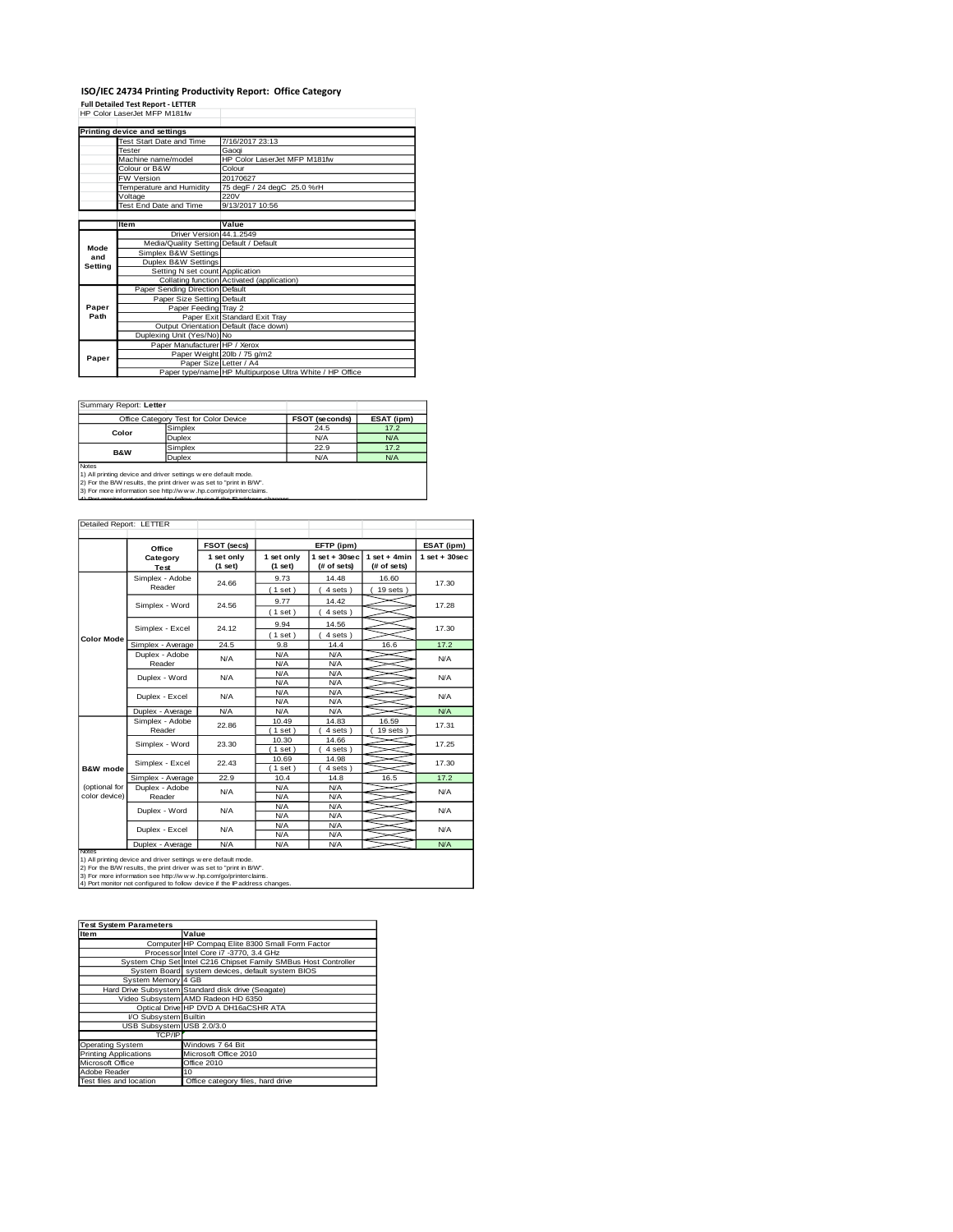## **ISO/IEC 24734 Printing Productivity Report: Office Category Full Detailed Test Report - LETTER** HP Color LaserJet MFP M181fw

|         | Printing device and settings            |                                                         |
|---------|-----------------------------------------|---------------------------------------------------------|
|         | Test Start Date and Time                | 7/16/2017 23:13                                         |
|         | Tester                                  | Gaogi                                                   |
|         | Machine name/model                      | HP Color LaserJet MFP M181fw                            |
|         | Colour or B&W                           | Colour                                                  |
|         | <b>FW Version</b>                       | 20170627                                                |
|         | Temperature and Humidity                | 75 degF / 24 degC 25.0 %rH                              |
|         | Voltage                                 | 220V                                                    |
|         | Test End Date and Time                  | 9/13/2017 10:56                                         |
|         |                                         |                                                         |
|         | <b>Item</b>                             | Value                                                   |
|         | Driver Version 44.1.2549                |                                                         |
| Mode    | Media/Quality Setting Default / Default |                                                         |
| and     | Simplex B&W Settings                    |                                                         |
| Setting | Duplex B&W Settings                     |                                                         |
|         | Setting N set count Application         |                                                         |
|         |                                         | Collating function Activated (application)              |
|         | Paper Sending Direction Default         |                                                         |
|         | Paper Size Setting Default              |                                                         |
| Paper   | Paper Feeding Tray 2                    |                                                         |
| Path    |                                         | Paper Exit Standard Exit Tray                           |
|         |                                         | Output Orientation Default (face down)                  |
|         | Duplexing Unit (Yes/No) No              |                                                         |
|         | Paper Manufacturer HP / Xerox           |                                                         |
| Paper   |                                         | Paper Weight 20lb / 75 g/m2                             |
|         |                                         | Paper Size Letter / A4                                  |
|         |                                         | Paper type/name HP Multipurpose Ultra White / HP Office |

Summary Report: **Letter**

|                                                                | Office Category Test for Color Device                                | <b>FSOT (seconds)</b> | ESAT (ipm) |  |  |  |
|----------------------------------------------------------------|----------------------------------------------------------------------|-----------------------|------------|--|--|--|
| Color                                                          | Simplex                                                              | 24.5                  | 17.2       |  |  |  |
|                                                                | Duplex                                                               | N/A                   | N/A        |  |  |  |
| <b>B&amp;W</b>                                                 | Simplex                                                              | 22.9                  | 17.2       |  |  |  |
|                                                                | <b>Duplex</b>                                                        | N/A                   | N/A        |  |  |  |
| Notes                                                          |                                                                      |                       |            |  |  |  |
| 1) All printing device and driver settings w ere default mode. |                                                                      |                       |            |  |  |  |
|                                                                | 2) For the B/W results, the print driver w as set to "print in B/W". |                       |            |  |  |  |

2) For the B/W results, the print driver w as set to "print in B/W".<br>3) For more information see http://w w w .hp.com/go/printerclaims.<br>4) Port monitor not configured to follow device if the IP address changes.

| Detailed Report: LETTER        |                           |                       |                          |                                |                               |                    |
|--------------------------------|---------------------------|-----------------------|--------------------------|--------------------------------|-------------------------------|--------------------|
|                                | Office                    | FSOT (secs)           |                          | EFTP (ipm)                     |                               | ESAT (ipm)         |
|                                | Category<br>Test          | 1 set only<br>(1 set) | 1 set only<br>(1 set)    | $1$ set + 30sec<br>(# of sets) | $1$ set + 4min<br>(# of sets) | $1$ set + $30$ sec |
|                                | Simplex - Adobe<br>Reader | 24.66                 | 9.73<br>(1 set)          | 14.48<br>4 sets)               | 16.60<br>$19$ sets $)$        | 17.30              |
|                                | Simplex - Word            | 24.56                 | 9.77<br>$1$ set)         | 14.42<br>$4 sets$ )            |                               | 17.28              |
|                                | Simplex - Excel           | 24.12                 | 9.94<br>(1 set)          | 14.56<br>4 sets)               |                               | 17.30              |
| <b>Color Mode</b>              | Simplex - Average         | 24.5                  | 9.8                      | 14.4                           | 16.6                          | 17.2               |
|                                | Duplex - Adobe<br>Reader  | N/A                   | N/A<br>N/A               | N/A<br>N/A                     |                               | N/A                |
|                                | Duplex - Word             | N/A                   | N/A<br>N/A               | N/A<br>N/A                     |                               | N/A                |
|                                | Duplex - Excel            | N/A                   | N/A<br>N/A<br>N/A<br>N/A |                                |                               | N/A                |
|                                | Duplex - Average          | N/A                   | N/A                      | N/A                            |                               | N/A                |
|                                | Simplex - Adobe<br>Reader | 22.86                 | 10.49<br>$1$ set $)$     | 14.83<br>4 sets )              | 16.59<br>$19$ sets)           | 17.31              |
|                                | Simplex - Word            | 23.30                 | 10.30<br>$1$ set)        | 14.66<br>4 sets                |                               | 17.25              |
| <b>R&amp;W</b> mode            | Simplex - Excel           | 22.43                 | 10.69<br>(1 set)         | 14.98<br>4 sets)               |                               | 17.30              |
|                                | Simplex - Average         | 22.9                  | 10.4                     | 14.8                           | 16.5                          | 17.2               |
| (optional for<br>color device) | Duplex - Adobe<br>Reader  | N/A                   | N/A<br>N/A               | N/A<br>N/A                     |                               | N/A                |
|                                | Duplex - Word             | N/A                   | N/A<br>N/A               | N/A<br>N/A                     |                               | N/A                |
|                                | Duplex - Excel            | N/A                   | N/A<br>N/A               | N/A<br>N/A                     |                               | N/A                |
|                                | Duplex - Average          | N/A                   | N/A                      | N/A                            |                               | N/A                |
| Notes                          |                           |                       |                          |                                |                               |                    |

Notes<br>1) All printing device and driver settings were default mode.<br>2) For the B/W results, the print driver was set to "print in B/W".<br>3) For more information see http://w.w. hp.com/go/printerclaims.<br>4) Por monitor not co

| <b>Test System Parameters</b> |                                                                 |
|-------------------------------|-----------------------------------------------------------------|
| Item                          | Value                                                           |
|                               | Computer HP Compaq Elite 8300 Small Form Factor                 |
|                               | Processor Intel Core i7 -3770, 3.4 GHz                          |
|                               | System Chip Set Intel C216 Chipset Family SMBus Host Controller |
|                               | System Board system devices, default system BIOS                |
| System Memory 4 GB            |                                                                 |
|                               | Hard Drive Subsystem Standard disk drive (Seagate)              |
|                               | Video Subsystem AMD Radeon HD 6350                              |
|                               | Optical Drive HP DVD A DH16aCSHR ATA                            |
| I/O Subsystem Builtin         |                                                                 |
| USB Subsystem USB 2.0/3.0     |                                                                 |
| TCP/IP                        |                                                                 |
| <b>Operating System</b>       | Windows 7 64 Bit                                                |
| <b>Printing Applications</b>  | Microsoft Office 2010                                           |
| Microsoft Office              | Office 2010                                                     |
| Adobe Reader                  | 10                                                              |
| Test files and location       | Office category files, hard drive                               |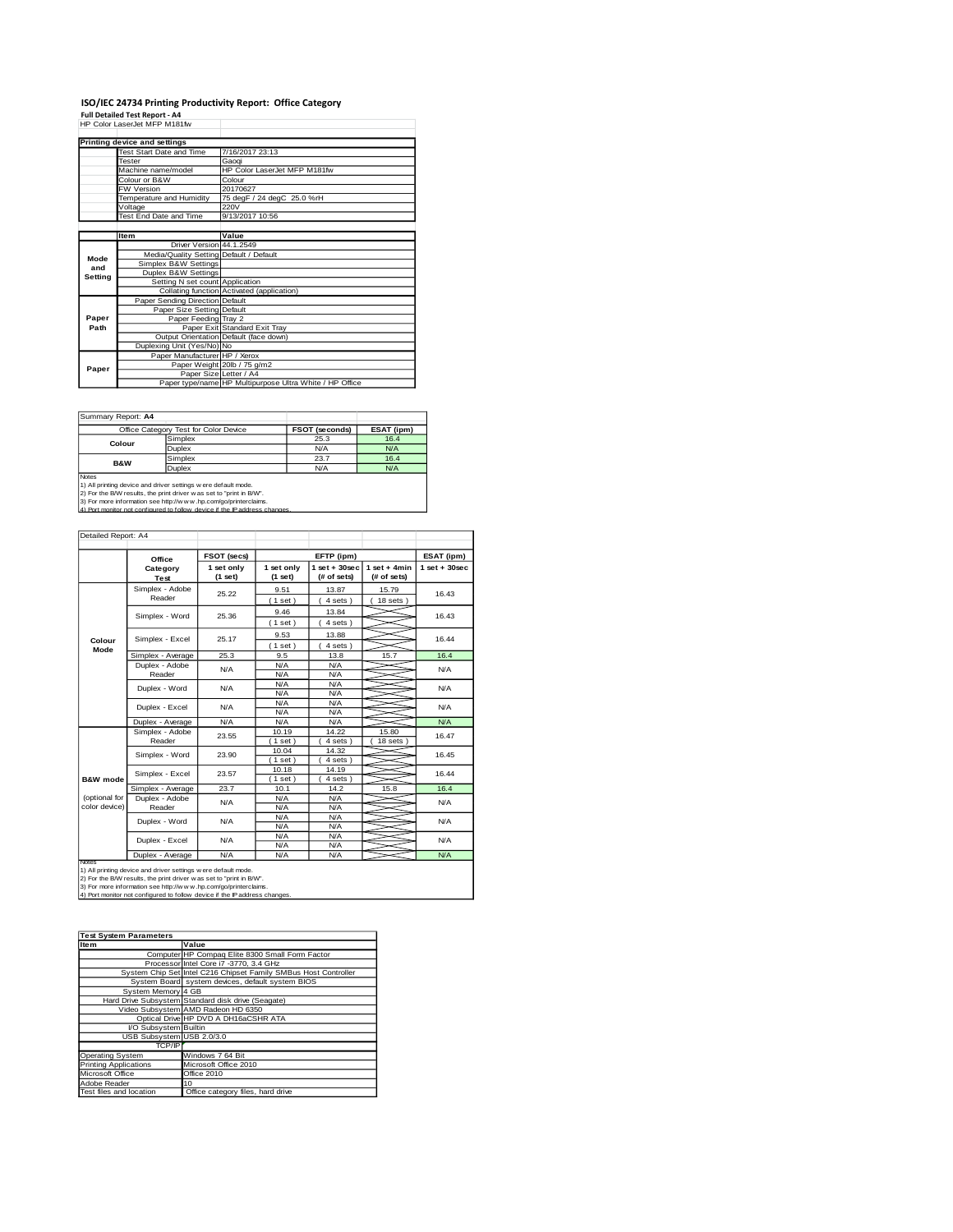# **ISO/IEC 24734 Printing Productivity Report: Office Category<br>Full Detailed Test Report - A4<br>HP Color LaserJet MFP M181fw**

|         | HP Color LaserJet MFP M181tw                             |                                                         |
|---------|----------------------------------------------------------|---------------------------------------------------------|
|         |                                                          |                                                         |
|         | Printing device and settings<br>Test Start Date and Time | 7/16/2017 23:13                                         |
|         |                                                          |                                                         |
|         | <b>Tester</b>                                            | Gaogi                                                   |
|         | Machine name/model                                       | HP Color LaserJet MFP M181fw                            |
|         | Colour or B&W                                            | Colour                                                  |
|         | <b>FW Version</b>                                        | 20170627                                                |
|         | Temperature and Humidity                                 | 75 degF / 24 degC 25.0 %rH                              |
|         | Voltage                                                  | 220V                                                    |
|         | Test End Date and Time                                   | 9/13/2017 10:56                                         |
|         |                                                          |                                                         |
|         | <b>Item</b>                                              | Value                                                   |
|         | Driver Version 44.1.2549                                 |                                                         |
| Mode    | Media/Quality Setting Default / Default                  |                                                         |
| and     | Simplex B&W Settings                                     |                                                         |
| Setting | Duplex B&W Settings                                      |                                                         |
|         | Setting N set count Application                          |                                                         |
|         |                                                          | Collating function Activated (application)              |
|         | Paper Sending Direction Default                          |                                                         |
|         | Paper Size Setting Default                               |                                                         |
| Paper   | Paper Feeding Trav 2                                     |                                                         |
| Path    |                                                          | Paper Exit Standard Exit Tray                           |
|         |                                                          | Output Orientation Default (face down)                  |
|         | Duplexing Unit (Yes/No) No                               |                                                         |
|         | Paper Manufacturer HP / Xerox                            |                                                         |
| Paper   |                                                          | Paper Weight 20lb / 75 g/m2                             |
|         |                                                          | Paper Size Letter / A4                                  |
|         |                                                          | Paper type/name HP Multipurpose Ultra White / HP Office |

Summary Report: **A4**

|                                                                     | Office Category Test for Color Device                                     | <b>FSOT (seconds)</b> | ESAT (ipm) |  |  |  |
|---------------------------------------------------------------------|---------------------------------------------------------------------------|-----------------------|------------|--|--|--|
| Colour                                                              | Simplex                                                                   | 25.3                  | 16.4       |  |  |  |
|                                                                     | Duplex                                                                    | N/A                   | N/A        |  |  |  |
| <b>B&amp;W</b>                                                      | Simplex                                                                   | 23.7                  | 16.4       |  |  |  |
|                                                                     | Duplex                                                                    | N/A                   | N/A        |  |  |  |
| Notes                                                               |                                                                           |                       |            |  |  |  |
|                                                                     | 1) All printing device and driver settings w ere default mode.            |                       |            |  |  |  |
| 2) For the B/W results, the print driver was set to "print in B/W". |                                                                           |                       |            |  |  |  |
| 3) For more information see http://www.hp.com/go/printerclaims.     |                                                                           |                       |            |  |  |  |
|                                                                     | 4) Port monitor not configured to follow device if the IP address changes |                       |            |  |  |  |

| Detailed Report: A4            |                           |                       |                                                                                        |                                |                               |                 |
|--------------------------------|---------------------------|-----------------------|----------------------------------------------------------------------------------------|--------------------------------|-------------------------------|-----------------|
|                                | Office                    | FSOT (secs)           |                                                                                        | EFTP (ipm)                     |                               | ESAT (ipm)      |
|                                | Category<br>Test          | 1 set only<br>(1 set) | 1 set only<br>(1 set)                                                                  | $1$ set + 30sec<br>(# of sets) | $1$ set + 4min<br>(# of sets) | $1$ set + 30sec |
|                                | Simplex - Adobe<br>Reader | 25.22                 | 9.51<br>(1 set)                                                                        | 13.87<br>4 sets)               | 15.79<br>$18$ sets $)$        | 16.43           |
|                                | Simplex - Word            | 25.36                 | 9.46                                                                                   | 13.84                          |                               | 16.43           |
| Colour                         | Simplex - Excel           | 25.17                 | (1 set)<br>9.53                                                                        | 4 sets)<br>13.88               |                               | 16.44           |
| Mode                           | Simplex - Average         | 25.3                  | (1 set)<br>9.5                                                                         | $4 sets$ )<br>13.8             | 15.7                          | 16.4            |
|                                | Duplex - Adobe<br>Reader  | N/A                   | N/A<br>N/A                                                                             | N/A<br>N/A                     |                               | N/A             |
|                                | Duplex - Word             | N/A                   | N/A<br>N/A                                                                             | N/A<br>N/A                     |                               | N/A             |
|                                | Duplex - Excel            | N/A                   | N/A<br>N/A                                                                             | N/A<br>N/A                     |                               | N/A             |
|                                | Duplex - Average          | N/A                   | N/A                                                                                    | N/A                            |                               | N/A             |
|                                | Simplex - Adobe<br>Reader | 23.55                 | 10.19<br>$1$ set $)$                                                                   | 14.22<br>4 sets)               | 15.80<br>18 sets              | 16.47           |
|                                | Simplex - Word            | 23.90                 | 10.04<br>14.32<br>$4 sets$ )<br>(1 set)<br>10.18<br>14.19<br>$1$ set $)$<br>$4 sets$ ) |                                |                               | 16.45           |
| <b>B&amp;W</b> mode            | Simplex - Excel           | 23.57                 |                                                                                        |                                |                               | 16.44           |
|                                | Simplex - Average         | 23.7                  | 10.1                                                                                   | 14.2                           | 15.8                          | 16.4            |
| (optional for<br>color device) | Duplex - Adobe<br>Reader  | N/A                   | N/A<br>N/A                                                                             | N/A<br>N/A                     |                               | N/A             |
|                                | Duplex - Word             | N/A                   | N/A<br>N/A                                                                             | N/A<br>N/A                     |                               | N/A             |
|                                | Duplex - Excel            | N/A                   | N/A<br>N/A                                                                             | N/A<br>N/A                     |                               | N/A             |
| Notes                          | Duplex - Average          | N/A                   | N/A                                                                                    | N/A                            |                               | N/A             |

Notes<br>1) All printing device and driver settings were default mode.<br>2) For the B/W results, the print driver was set to "print in B/W".<br>3) For more information see http://www.hp.com/go/printerclaims.<br>4) Por monitor not con

| <b>Test System Parameters</b> |                                                                 |  |  |  |
|-------------------------------|-----------------------------------------------------------------|--|--|--|
| Item                          | Value                                                           |  |  |  |
|                               | Computer HP Compag Elite 8300 Small Form Factor                 |  |  |  |
|                               | Processor Intel Core i7 -3770, 3.4 GHz                          |  |  |  |
|                               | System Chip Set Intel C216 Chipset Family SMBus Host Controller |  |  |  |
|                               | System Board system devices, default system BIOS                |  |  |  |
| System Memory 4 GB            |                                                                 |  |  |  |
|                               | Hard Drive Subsystem Standard disk drive (Seagate)              |  |  |  |
|                               | Video Subsystem AMD Radeon HD 6350                              |  |  |  |
|                               | Optical Drive HP DVD A DH16aCSHR ATA                            |  |  |  |
| I/O Subsystem Builtin         |                                                                 |  |  |  |
| USB Subsystem USB 2.0/3.0     |                                                                 |  |  |  |
| <b>TCP/IP</b>                 |                                                                 |  |  |  |
| <b>Operating System</b>       | Windows 7 64 Bit                                                |  |  |  |
| <b>Printing Applications</b>  | Microsoft Office 2010                                           |  |  |  |
| Microsoft Office              | <b>Office 2010</b>                                              |  |  |  |
| Adobe Reader                  | 10                                                              |  |  |  |
| Test files and location       | Office category files, hard drive                               |  |  |  |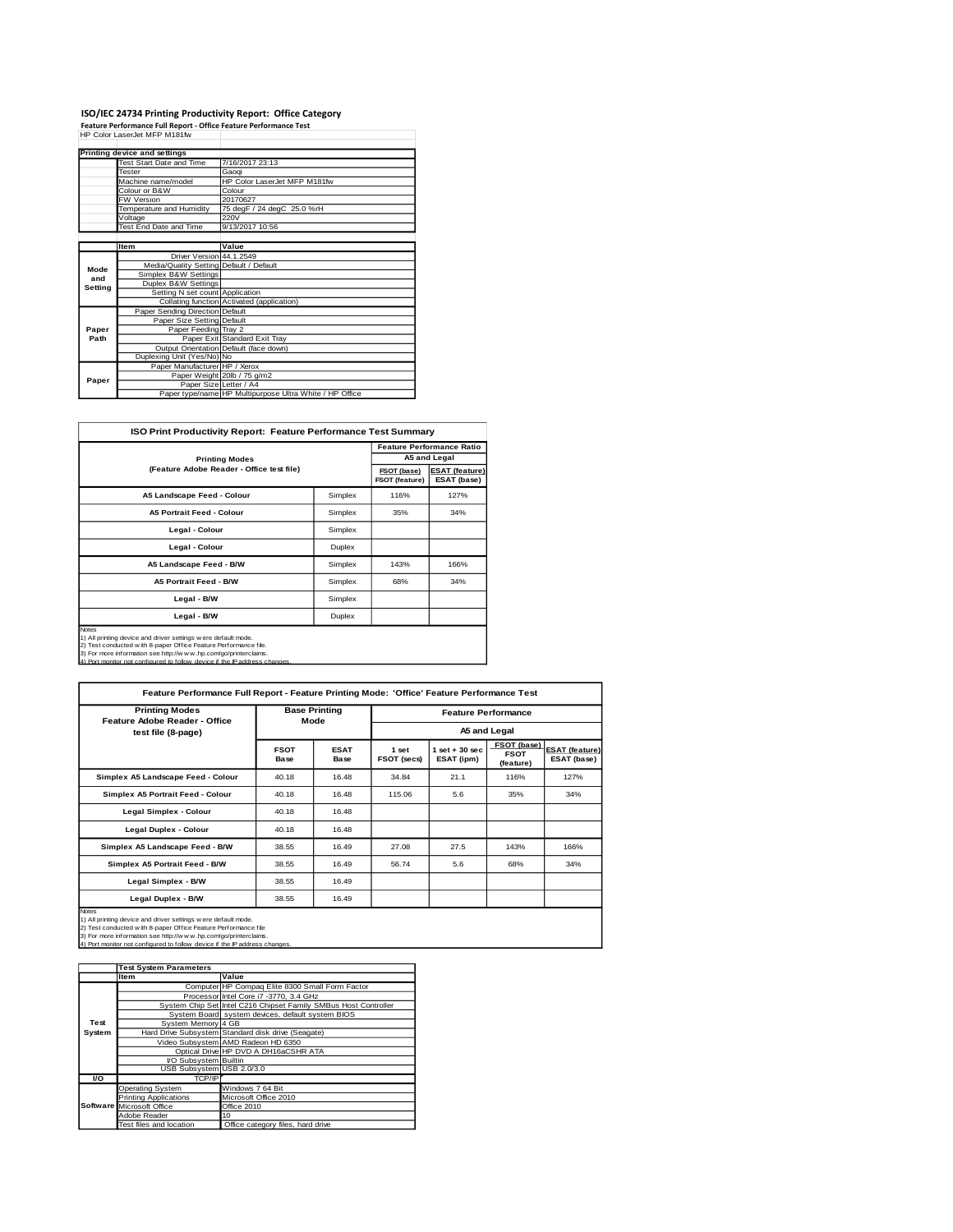# **ISO/IEC 24734 Printing Productivity Report: Office Category<br>Feature Performance Full Report - Office Feature Performance Test<br>HP Color LaserJet MFP M181fw**

|         | Printing device and settings            |                                                         |  |
|---------|-----------------------------------------|---------------------------------------------------------|--|
|         | Test Start Date and Time                | 7/16/2017 23:13                                         |  |
|         | <b>Tester</b>                           | Gaogi                                                   |  |
|         | Machine name/model                      | HP Color LaserJet MFP M181fw                            |  |
|         | Colour or B&W                           | Colour                                                  |  |
|         | <b>FW Version</b>                       | 20170627                                                |  |
|         | Temperature and Humidity                | 75 degF / 24 degC 25.0 %rH                              |  |
|         | Voltage                                 | 220V                                                    |  |
|         | Test End Date and Time                  | 9/13/2017 10:56                                         |  |
|         |                                         |                                                         |  |
|         | <b>Item</b>                             | Value                                                   |  |
|         | Driver Version 44.1.2549                |                                                         |  |
| Mode    | Media/Quality Setting Default / Default |                                                         |  |
| and     | Simplex B&W Settings                    |                                                         |  |
| Setting | Duplex B&W Settings                     |                                                         |  |
|         | Setting N set count Application         |                                                         |  |
|         |                                         | Collating function Activated (application)              |  |
|         | Paper Sending Direction Default         |                                                         |  |
|         | Paper Size Setting Default              |                                                         |  |
| Paper   | Paper Feeding Tray 2                    |                                                         |  |
| Path    |                                         | Paper Exit Standard Exit Tray                           |  |
|         |                                         | Output Orientation Default (face down)                  |  |
|         | Duplexing Unit (Yes/No) No              |                                                         |  |
|         | Paper Manufacturer HP / Xerox           |                                                         |  |
| Paper   |                                         | Paper Weight 20lb / 75 g/m2                             |  |
|         | Paper Size Letter / A4                  |                                                         |  |
|         |                                         | Paper type/name HP Multipurpose Ultra White / HP Office |  |

| <b>ISO Print Productivity Report: Feature Performance Test Summary</b>                                                                                                                                                                                                                         |         |      |                                  |  |  |
|------------------------------------------------------------------------------------------------------------------------------------------------------------------------------------------------------------------------------------------------------------------------------------------------|---------|------|----------------------------------|--|--|
|                                                                                                                                                                                                                                                                                                |         |      | <b>Feature Performance Ratio</b> |  |  |
| <b>Printing Modes</b>                                                                                                                                                                                                                                                                          |         |      | A5 and Legal                     |  |  |
| (Feature Adobe Reader - Office test file)                                                                                                                                                                                                                                                      |         |      |                                  |  |  |
| A5 Landscape Feed - Colour                                                                                                                                                                                                                                                                     | Simplex | 116% | 127%                             |  |  |
| <b>A5 Portrait Feed - Colour</b>                                                                                                                                                                                                                                                               | Simplex | 35%  | 34%                              |  |  |
| Legal - Colour                                                                                                                                                                                                                                                                                 | Simplex |      |                                  |  |  |
| Legal - Colour                                                                                                                                                                                                                                                                                 | Duplex  |      |                                  |  |  |
| A5 Landscape Feed - B/W                                                                                                                                                                                                                                                                        | Simplex | 143% | 166%                             |  |  |
| <b>A5 Portrait Feed - B/W</b>                                                                                                                                                                                                                                                                  | Simplex | 68%  | 34%                              |  |  |
| Legal - B/W<br>Simplex                                                                                                                                                                                                                                                                         |         |      |                                  |  |  |
| Legal - B/W<br>Duplex                                                                                                                                                                                                                                                                          |         |      |                                  |  |  |
| Notes<br>1) All printing device and driver settings w ere default mode.<br>2) Test conducted w ith 8-paper Office Feature Performance file.<br>3) For more information see http://w w w .hp.com/go/printerclaims.<br>4) Port monitor not configured to follow device if the IP address changes |         |      |                                  |  |  |

| <b>Printing Modes</b><br>Feature Adobe Reader - Office                                                                                                                                                                                                                                              |                     | <b>Base Printing</b><br>Mode |                             | <b>Feature Performance</b>      |                                         |                                      |  |
|-----------------------------------------------------------------------------------------------------------------------------------------------------------------------------------------------------------------------------------------------------------------------------------------------------|---------------------|------------------------------|-----------------------------|---------------------------------|-----------------------------------------|--------------------------------------|--|
| test file (8-page)                                                                                                                                                                                                                                                                                  |                     |                              |                             |                                 | A5 and Legal                            |                                      |  |
|                                                                                                                                                                                                                                                                                                     | <b>FSOT</b><br>Base | <b>ESAT</b><br>Base          | 1 set<br><b>FSOT (secs)</b> | $1$ set $+30$ sec<br>ESAT (ipm) | FSOT (base)<br><b>FSOT</b><br>(feature) | <b>ESAT (feature)</b><br>ESAT (base) |  |
| Simplex A5 Landscape Feed - Colour                                                                                                                                                                                                                                                                  | 40.18               | 16.48                        | 34.84                       | 21.1                            | 116%                                    | 127%                                 |  |
| Simplex A5 Portrait Feed - Colour                                                                                                                                                                                                                                                                   | 40.18               | 16.48                        | 115.06                      | 5.6                             | 35%                                     | 34%                                  |  |
| Legal Simplex - Colour                                                                                                                                                                                                                                                                              | 40.18               | 16.48                        |                             |                                 |                                         |                                      |  |
| Legal Duplex - Colour                                                                                                                                                                                                                                                                               | 40.18               | 16.48                        |                             |                                 |                                         |                                      |  |
| Simplex A5 Landscape Feed - B/W                                                                                                                                                                                                                                                                     | 38.55               | 16.49                        | 27.08                       | 27.5                            | 143%                                    | 166%                                 |  |
| Simplex A5 Portrait Feed - B/W                                                                                                                                                                                                                                                                      | 38.55               | 16.49                        | 56.74                       | 5.6                             | 68%                                     | 34%                                  |  |
| Legal Simplex - B/W                                                                                                                                                                                                                                                                                 | 38.55               | 16.49                        |                             |                                 |                                         |                                      |  |
| Legal Duplex - B/W<br>38.55<br>16.49                                                                                                                                                                                                                                                                |                     |                              |                             |                                 |                                         |                                      |  |
| <b>Notes</b><br>1) All printing device and driver settings were default mode.<br>2) Test conducted with 8-paper Office Feature Performance file<br>3) For more information see http://w w w .hp.com/go/printerclaims.<br>4) Port monitor not configured to follow device if the IP address changes. |                     |                              |                             |                                 |                                         |                                      |  |

|        | <b>Test System Parameters</b> |                                                                 |
|--------|-------------------------------|-----------------------------------------------------------------|
|        | <b>Item</b>                   | Value                                                           |
|        |                               | Computer HP Compaq Elite 8300 Small Form Factor                 |
|        |                               | Processor Intel Core i7 -3770, 3.4 GHz                          |
|        |                               | System Chip Set Intel C216 Chipset Family SMBus Host Controller |
|        |                               | System Board system devices, default system BIOS                |
| Test   | System Memory 4 GB            |                                                                 |
| System |                               | Hard Drive Subsystem Standard disk drive (Seagate)              |
|        |                               | Video Subsystem AMD Radeon HD 6350                              |
|        |                               | Optical Drive HP DVD A DH16aCSHR ATA                            |
|        | I/O Subsystem Builtin         |                                                                 |
|        | USB Subsystem USB 2.0/3.0     |                                                                 |
| VO.    | TCP/IP                        |                                                                 |
|        | <b>Operating System</b>       | Windows 7 64 Bit                                                |
|        | <b>Printing Applications</b>  | Microsoft Office 2010                                           |
|        | Software Microsoft Office     | Office 2010                                                     |
|        | Adobe Reader                  | 10                                                              |
|        | Test files and location       | Office category files, hard drive                               |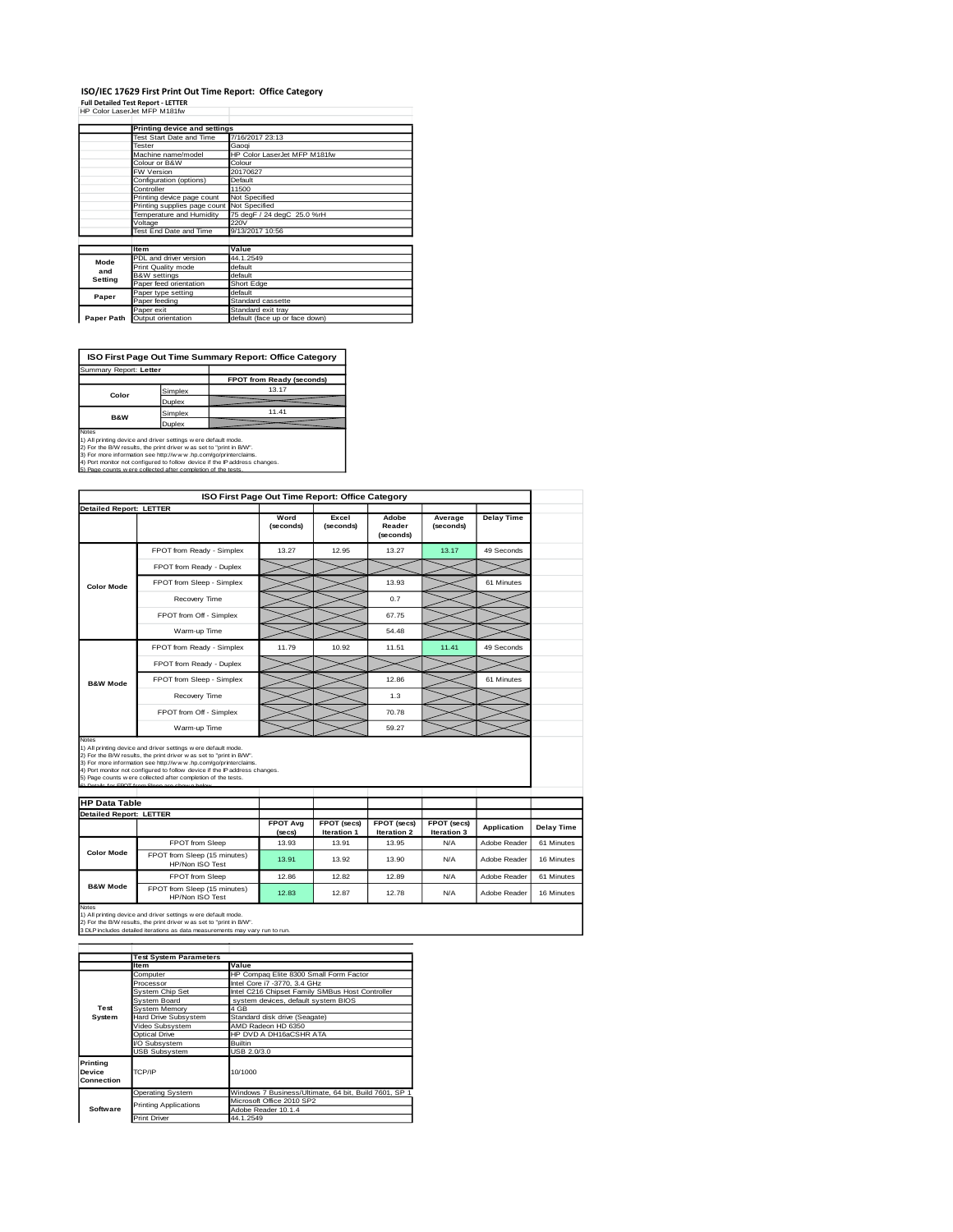# **ISO/IEC 17629 First Print Out Time Report: Office Category<br>Full Detailed Test Report - LETTER<br>HP Color LaserJet MFP M181fw**

|            | Printing device and settings |                                |  |  |
|------------|------------------------------|--------------------------------|--|--|
|            | Test Start Date and Time     | 7/16/2017 23:13                |  |  |
|            | Tester                       | Gaogi                          |  |  |
|            | Machine name/model           | HP Color LaserJet MFP M181fw   |  |  |
|            | Colour or B&W                | Colour                         |  |  |
|            | FW Version                   | 20170627                       |  |  |
|            | Configuration (options)      | Default                        |  |  |
|            | Controller                   | 11500                          |  |  |
|            | Printing device page count   | Not Specified                  |  |  |
|            | Printing supplies page count | Not Specified                  |  |  |
|            | Temperature and Humidity     | 75 degF / 24 degC 25.0 %rH     |  |  |
|            | Voltage                      | 220V                           |  |  |
|            | Test End Date and Time       | 9/13/2017 10:56                |  |  |
|            |                              |                                |  |  |
|            | <b>Item</b>                  | Value                          |  |  |
| Mode       | PDL and driver version       | 44.1.2549                      |  |  |
| and        | Print Quality mode           | default                        |  |  |
| Setting    | <b>B&amp;W</b> settings      | default                        |  |  |
|            | Paper feed orientation       | Short Edge                     |  |  |
| Paper      | Paper type setting           | default                        |  |  |
|            | Paper feeding                | Standard cassette              |  |  |
|            | Paper exit                   | Standard exit tray             |  |  |
| Paper Path | Output orientation           | default (face up or face down) |  |  |

**ISO First Page Out Time Summary Report: Office Category**

| Summary Report: Letter                                                                                                                                                                                                                                                                                                                                                 |         |                           |  |  |  |
|------------------------------------------------------------------------------------------------------------------------------------------------------------------------------------------------------------------------------------------------------------------------------------------------------------------------------------------------------------------------|---------|---------------------------|--|--|--|
|                                                                                                                                                                                                                                                                                                                                                                        |         | FPOT from Ready (seconds) |  |  |  |
| Color                                                                                                                                                                                                                                                                                                                                                                  | Simplex | 13.17                     |  |  |  |
|                                                                                                                                                                                                                                                                                                                                                                        | Duplex  |                           |  |  |  |
| <b>B&amp;W</b>                                                                                                                                                                                                                                                                                                                                                         | Simplex | 11.41                     |  |  |  |
|                                                                                                                                                                                                                                                                                                                                                                        | Duplex  |                           |  |  |  |
| <b>Notes</b><br>1) All printing device and driver settings were default mode.<br>2) For the B/W results, the print driver was set to "print in B/W".<br>3) For more information see http://www.hp.com/go/printerclaims.<br>4) Port monitor not configured to follow device if the IP address changes.<br>5) Page counts wiere collected after completion of the tests. |         |                           |  |  |  |

|                                                        |                                                                                                                                                                                                                                                                                                                                                                                                          | ISO First Page Out Time Report: Office Category |                            |                              |                            |                    |  |
|--------------------------------------------------------|----------------------------------------------------------------------------------------------------------------------------------------------------------------------------------------------------------------------------------------------------------------------------------------------------------------------------------------------------------------------------------------------------------|-------------------------------------------------|----------------------------|------------------------------|----------------------------|--------------------|--|
| <b>Detailed Report: LETTER</b>                         |                                                                                                                                                                                                                                                                                                                                                                                                          |                                                 |                            |                              |                            |                    |  |
|                                                        |                                                                                                                                                                                                                                                                                                                                                                                                          | Word<br>(seconds)                               | Excel<br>(seconds)         | Adobe<br>Reader<br>(seconds) | Average<br>(seconds)       | <b>Delay Time</b>  |  |
|                                                        | FPOT from Ready - Simplex                                                                                                                                                                                                                                                                                                                                                                                | 13.27                                           | 12.95                      | 13.27                        | 13.17                      | 49 Seconds         |  |
|                                                        | FPOT from Ready - Duplex                                                                                                                                                                                                                                                                                                                                                                                 |                                                 |                            |                              |                            |                    |  |
| <b>Color Mode</b>                                      | FPOT from Sleep - Simplex                                                                                                                                                                                                                                                                                                                                                                                |                                                 |                            | 13.93                        |                            | 61 Minutes         |  |
|                                                        | Recovery Time                                                                                                                                                                                                                                                                                                                                                                                            |                                                 |                            | 0.7                          |                            |                    |  |
|                                                        | FPOT from Off - Simplex                                                                                                                                                                                                                                                                                                                                                                                  |                                                 |                            | 67.75                        |                            |                    |  |
|                                                        | Warm-up Time                                                                                                                                                                                                                                                                                                                                                                                             |                                                 |                            | 54.48                        |                            |                    |  |
|                                                        | FPOT from Ready - Simplex                                                                                                                                                                                                                                                                                                                                                                                | 11.79                                           | 10.92                      | 11.51                        | 11.41                      | 49 Seconds         |  |
|                                                        | FPOT from Ready - Duplex                                                                                                                                                                                                                                                                                                                                                                                 |                                                 |                            |                              |                            |                    |  |
| <b>B&amp;W Mode</b>                                    | FPOT from Sleep - Simplex                                                                                                                                                                                                                                                                                                                                                                                |                                                 |                            | 12.86                        |                            | 61 Minutes         |  |
|                                                        |                                                                                                                                                                                                                                                                                                                                                                                                          |                                                 |                            | 1.3                          |                            |                    |  |
|                                                        | Recovery Time                                                                                                                                                                                                                                                                                                                                                                                            |                                                 |                            |                              |                            |                    |  |
|                                                        | FPOT from Off - Simplex                                                                                                                                                                                                                                                                                                                                                                                  |                                                 |                            | 70.78                        |                            |                    |  |
| Notes                                                  | Warm-up Time                                                                                                                                                                                                                                                                                                                                                                                             |                                                 |                            | 59.27                        |                            |                    |  |
| <b>HP Data Table</b><br><b>Detailed Report: LETTER</b> | 1) All printing device and driver settings were default mode.<br>2) For the B/W results, the print driver was set to "print in B/W".<br>3) For more information see http://www.hp.com/go/printerclaims.<br>4) Port monitor not configured to follow device if the IP address changes.<br>5) Page counts w ere collected after completion of the tests.<br>6) Details for FROT from Sleep are shown below |                                                 |                            |                              |                            |                    |  |
|                                                        |                                                                                                                                                                                                                                                                                                                                                                                                          | <b>FPOT Avg</b><br>(secs)                       | FPOT (secs)<br>Iteration 1 | FPOT (secs)<br>Iteration 2   | FPOT (secs)<br>Iteration 3 | <b>Application</b> |  |
|                                                        | FPOT from Sleep                                                                                                                                                                                                                                                                                                                                                                                          | 13.93                                           | 13.91                      | 13.95                        | N/A                        | Adobe Reader       |  |
| <b>Color Mode</b>                                      | FPOT from Sleep (15 minutes)<br>HP/Non ISO Test                                                                                                                                                                                                                                                                                                                                                          | 13.91                                           | 13.92                      | 13.90                        | N/A                        | Adobe Reader       |  |
| <b>B&amp;W Mode</b>                                    | FPOT from Sleep                                                                                                                                                                                                                                                                                                                                                                                          | 12.86                                           | 12.82                      | 12.89                        | N/A                        | Adobe Reader       |  |

1) All printing device and driver settings w ere default mode.<br>2) For the B/W results, the print driver w as set to "print in B/W".<br>3 DLP includes detailed iterations as data measurements may vary run to run.

|                                  | <b>Test System Parameters</b> |                                                       |  |  |  |
|----------------------------------|-------------------------------|-------------------------------------------------------|--|--|--|
|                                  | <b>Item</b>                   | Value                                                 |  |  |  |
|                                  | Computer                      | HP Compaq Elite 8300 Small Form Factor                |  |  |  |
|                                  | Processor                     | Intel Core i7 -3770, 3.4 GHz                          |  |  |  |
|                                  | System Chip Set               | Intel C216 Chipset Family SMBus Host Controller       |  |  |  |
|                                  | System Board                  | system devices, default system BIOS                   |  |  |  |
| Test                             | System Memory                 | 4 GB                                                  |  |  |  |
| System                           | Hard Drive Subsystem          | Standard disk drive (Seagate)                         |  |  |  |
|                                  | Video Subsystem               | AMD Radeon HD 6350                                    |  |  |  |
|                                  | Optical Drive                 | HP DVD A DH16aCSHR ATA                                |  |  |  |
|                                  | VO Subsystem                  | <b>Builtin</b>                                        |  |  |  |
|                                  | <b>USB Subsystem</b>          | USB 2.0/3.0                                           |  |  |  |
| Printing<br>Device<br>Connection | TCP/IP                        | 10/1000                                               |  |  |  |
|                                  | <b>Operating System</b>       | Windows 7 Business/Ultimate, 64 bit, Build 7601, SP 1 |  |  |  |
|                                  | <b>Printing Applications</b>  | Microsoft Office 2010 SP2                             |  |  |  |
| Software                         |                               | Adobe Reader 10.1.4                                   |  |  |  |
|                                  | <b>Print Driver</b>           | 44.1.2549                                             |  |  |  |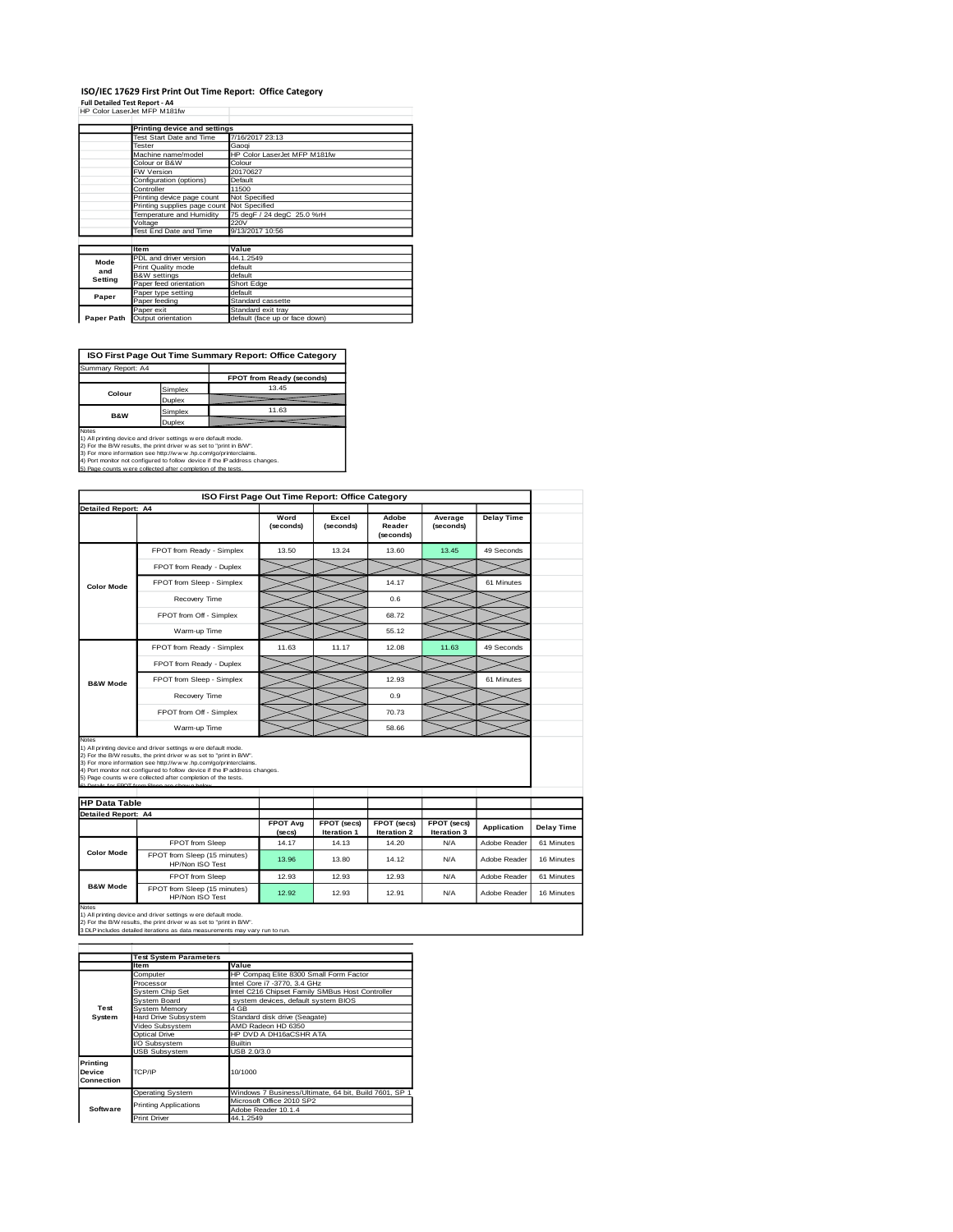#### **ISO/IEC 17629 First Print Out Time Report: Office Category Full Detailed Test Report - A4**

| HP Color LaserJet MFP M181fw |  |
|------------------------------|--|

|            | Printing device and settings               |                                                      |  |  |
|------------|--------------------------------------------|------------------------------------------------------|--|--|
|            | Test Start Date and Time                   | 7/16/2017 23:13                                      |  |  |
|            | Tester                                     | Gaogi                                                |  |  |
|            | Machine name/model                         | HP Color LaserJet MFP M181fw                         |  |  |
|            | Colour or B&W                              | Colour                                               |  |  |
|            | FW Version                                 | 20170627                                             |  |  |
|            | Configuration (options)                    | Default                                              |  |  |
|            | Controller                                 | 11500                                                |  |  |
|            | Printing device page count                 | Not Specified                                        |  |  |
|            | Printing supplies page count Not Specified |                                                      |  |  |
|            | Temperature and Humidity                   | 75 degF / 24 degC 25.0 %rH                           |  |  |
|            | Voltage                                    | 220V                                                 |  |  |
|            | Test End Date and Time                     | 9/13/2017 10:56                                      |  |  |
|            |                                            |                                                      |  |  |
|            | Item                                       | Value                                                |  |  |
| Mode       | PDL and driver version                     | 44.1.2549                                            |  |  |
| and        | Print Quality mode                         | default                                              |  |  |
| Setting    | <b>B&amp;W</b> settings                    | default                                              |  |  |
|            | Paper feed orientation                     | Short Edge                                           |  |  |
| Paper      | Paper type setting                         | default                                              |  |  |
|            | Paper feeding                              | Standard cassette                                    |  |  |
|            |                                            |                                                      |  |  |
| Paper Path | Paper exit<br>Output orientation           | Standard exit tray<br>default (face up or face down) |  |  |

**ISO First Page Out Time Summary Report: Office Category**

| Summary Report: A4 |                           |
|--------------------|---------------------------|
|                    | FPOT from Ready (seconds) |
| Simplex            | 13.45                     |
| Duplex             |                           |
| Simplex            | 11.63                     |
| Duplex             |                           |
|                    |                           |

Notes<br>1) All printing device and driver settings were default mode.<br>2) For the B/W results, the print driver was set to "print in B/W".<br>3) For more information see http://www.hp.com/go/printerclaims.<br>4) Fort monitor not co

|                                                                                      |                                                                                                                                                                                                                                                                                                                                                                                                           | ISO First Page Out Time Report: Office Category |                            |                            |                            |                    |  |  |
|--------------------------------------------------------------------------------------|-----------------------------------------------------------------------------------------------------------------------------------------------------------------------------------------------------------------------------------------------------------------------------------------------------------------------------------------------------------------------------------------------------------|-------------------------------------------------|----------------------------|----------------------------|----------------------------|--------------------|--|--|
| <b>Detailed Report: A4</b><br>Word<br>Excel<br><b>Delay Time</b><br>Adobe<br>Average |                                                                                                                                                                                                                                                                                                                                                                                                           |                                                 |                            |                            |                            |                    |  |  |
|                                                                                      |                                                                                                                                                                                                                                                                                                                                                                                                           | (seconds)                                       | (seconds)                  | Reader<br>(seconds)        | (seconds)                  |                    |  |  |
|                                                                                      | FPOT from Ready - Simplex                                                                                                                                                                                                                                                                                                                                                                                 | 13.50                                           | 13.24                      | 13.60                      | 13.45                      | 49 Seconds         |  |  |
|                                                                                      | FPOT from Ready - Duplex                                                                                                                                                                                                                                                                                                                                                                                  |                                                 |                            |                            |                            |                    |  |  |
| <b>Color Mode</b>                                                                    | FPOT from Sleep - Simplex                                                                                                                                                                                                                                                                                                                                                                                 |                                                 |                            | 14.17                      |                            | 61 Minutes         |  |  |
|                                                                                      | Recovery Time                                                                                                                                                                                                                                                                                                                                                                                             |                                                 |                            | 0.6                        |                            |                    |  |  |
|                                                                                      | FPOT from Off - Simplex                                                                                                                                                                                                                                                                                                                                                                                   |                                                 |                            | 68.72                      |                            |                    |  |  |
|                                                                                      | Warm-up Time                                                                                                                                                                                                                                                                                                                                                                                              |                                                 |                            | 55.12                      |                            |                    |  |  |
|                                                                                      | FPOT from Ready - Simplex                                                                                                                                                                                                                                                                                                                                                                                 | 11.63                                           | 11.17                      | 12.08                      | 11.63                      | 49 Seconds         |  |  |
|                                                                                      | FPOT from Ready - Duplex                                                                                                                                                                                                                                                                                                                                                                                  |                                                 |                            |                            |                            |                    |  |  |
| <b>B&amp;W Mode</b>                                                                  | FPOT from Sleep - Simplex                                                                                                                                                                                                                                                                                                                                                                                 |                                                 |                            | 12.93                      |                            | 61 Minutes         |  |  |
|                                                                                      | Recovery Time                                                                                                                                                                                                                                                                                                                                                                                             |                                                 |                            | 0.9                        |                            |                    |  |  |
|                                                                                      | FPOT from Off - Simplex                                                                                                                                                                                                                                                                                                                                                                                   |                                                 |                            | 70.73                      |                            |                    |  |  |
|                                                                                      |                                                                                                                                                                                                                                                                                                                                                                                                           |                                                 |                            |                            |                            |                    |  |  |
| Notes                                                                                | Warm-up Time                                                                                                                                                                                                                                                                                                                                                                                              |                                                 |                            | 58.66                      |                            |                    |  |  |
| <b>HP Data Table</b>                                                                 | 1) All printing device and driver settings w ere default mode.<br>2) For the B/W results, the print driver was set to "print in B/W".<br>3) For more information see http://www.hp.com/go/printerclaims.<br>4) Port monitor not configured to follow device if the IP address changes.<br>5) Page counts w ere collected after completion of the tests.<br>6) Details for FROT from Sleep are shown below |                                                 |                            |                            |                            |                    |  |  |
| <b>Detailed Report: A4</b>                                                           |                                                                                                                                                                                                                                                                                                                                                                                                           |                                                 |                            |                            |                            |                    |  |  |
|                                                                                      |                                                                                                                                                                                                                                                                                                                                                                                                           | <b>FPOT Ava</b><br>(secs)                       | FPOT (secs)<br>Iteration 1 | FPOT (secs)<br>Iteration 2 | FPOT (secs)<br>Iteration 3 | <b>Application</b> |  |  |
|                                                                                      | FPOT from Sleep                                                                                                                                                                                                                                                                                                                                                                                           | 14.17                                           | 14.13                      | 14.20                      | N/A                        | Adobe Reader       |  |  |
| <b>Color Mode</b>                                                                    | FPOT from Sleep (15 minutes)<br>HP/Non ISO Test                                                                                                                                                                                                                                                                                                                                                           | 13.96                                           | 13.80                      | 14.12                      | N/A                        | Adobe Reader       |  |  |
| <b>B&amp;W Mode</b>                                                                  | FPOT from Sleep                                                                                                                                                                                                                                                                                                                                                                                           | 12.93                                           | 12.93                      | 12.93                      | N/A                        | Adobe Reader       |  |  |

1) All printing device and driver settings w ere default mode.<br>2) For the B/W results, the print driver w as set to "print in B/W".<br>3 DLP includes detailed iterations as data measurements may vary run to run.

|                                  | <b>Test System Parameters</b> |                                                       |  |  |
|----------------------------------|-------------------------------|-------------------------------------------------------|--|--|
|                                  | <b>Item</b>                   | Value                                                 |  |  |
|                                  | Computer                      | HP Compaq Elite 8300 Small Form Factor                |  |  |
|                                  | Processor                     | Intel Core i7 -3770, 3.4 GHz                          |  |  |
|                                  | System Chip Set               | Intel C216 Chipset Family SMBus Host Controller       |  |  |
|                                  | System Board                  | system devices, default system BIOS                   |  |  |
| Test                             | System Memory                 | 4 GB                                                  |  |  |
| System                           | Hard Drive Subsystem          | Standard disk drive (Seagate)                         |  |  |
|                                  | Video Subsystem               | AMD Radeon HD 6350                                    |  |  |
|                                  | Optical Drive                 | HP DVD A DH16aCSHR ATA                                |  |  |
|                                  | VO Subsystem                  | <b>Builtin</b>                                        |  |  |
|                                  | <b>USB Subsystem</b>          | USB 2.0/3.0                                           |  |  |
| Printing<br>Device<br>Connection | TCP/IP                        | 10/1000                                               |  |  |
|                                  | <b>Operating System</b>       | Windows 7 Business/Ultimate, 64 bit, Build 7601, SP 1 |  |  |
|                                  | <b>Printing Applications</b>  | Microsoft Office 2010 SP2                             |  |  |
| Software                         |                               | Adobe Reader 10.1.4                                   |  |  |
|                                  | <b>Print Driver</b>           | 44.1.2549                                             |  |  |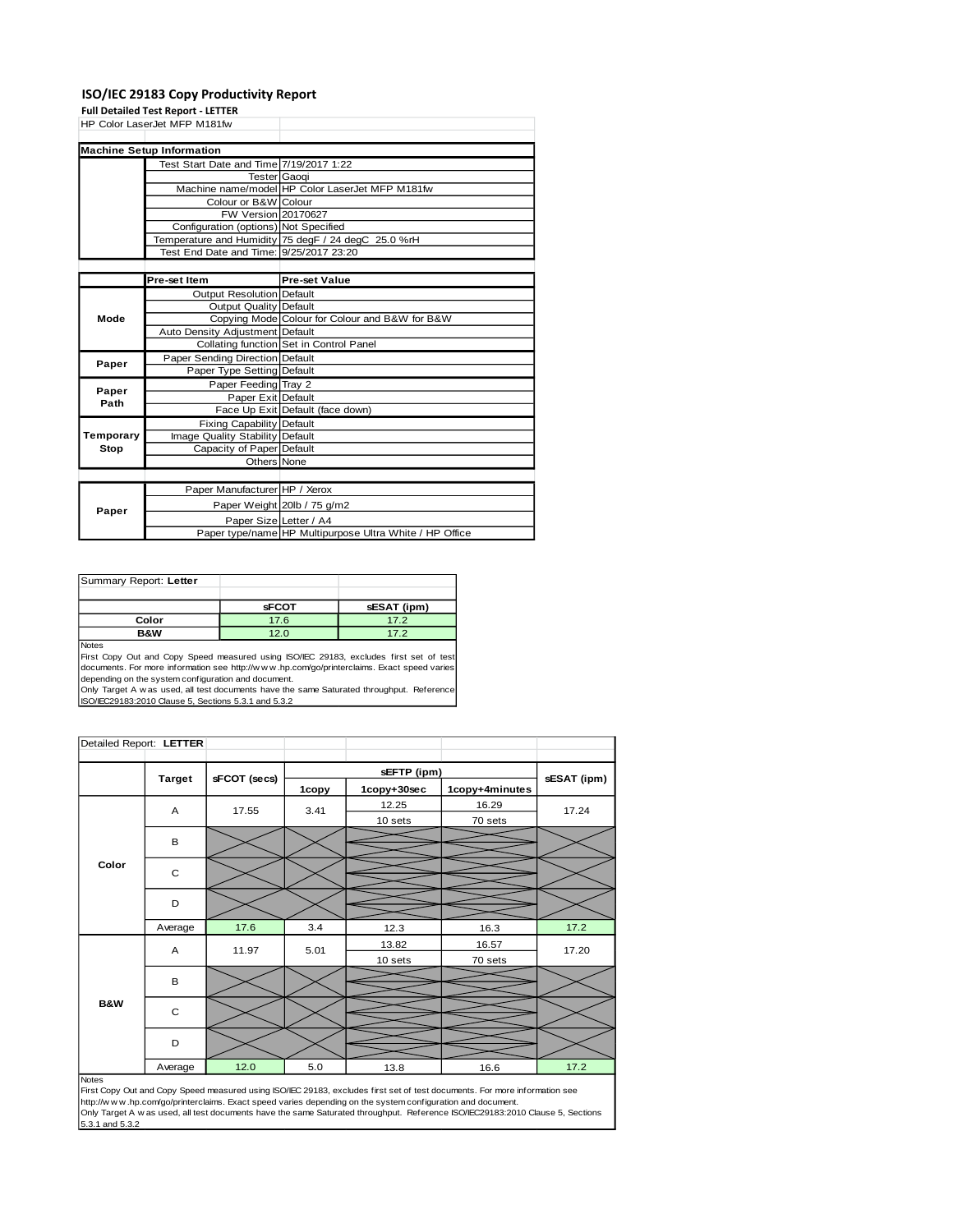## **ISO/IEC 29183 Copy Productivity Report**

**Full Detailed Test Report - LETTER**

|               | HP Color LaserJet MFP M181fw            |                                                         |  |  |
|---------------|-----------------------------------------|---------------------------------------------------------|--|--|
|               |                                         |                                                         |  |  |
|               | <b>Machine Setup Information</b>        |                                                         |  |  |
|               | Test Start Date and Time 7/19/2017 1:22 |                                                         |  |  |
|               |                                         | <b>Tester</b> Gaogi                                     |  |  |
|               |                                         | Machine name/model HP Color LaserJet MFP M181fw         |  |  |
|               | Colour or B&W Colour                    |                                                         |  |  |
|               | FW Version 20170627                     |                                                         |  |  |
|               | Configuration (options) Not Specified   |                                                         |  |  |
|               |                                         | Temperature and Humidity 75 degF / 24 degC 25.0 %rH     |  |  |
|               | Test End Date and Time: 9/25/2017 23:20 |                                                         |  |  |
|               |                                         |                                                         |  |  |
|               | Pre-set Item                            | <b>Pre-set Value</b>                                    |  |  |
|               | <b>Output Resolution Default</b>        |                                                         |  |  |
|               | <b>Output Quality Default</b>           |                                                         |  |  |
| Mode          |                                         | Copying Mode Colour for Colour and B&W for B&W          |  |  |
|               | Auto Density Adjustment Default         |                                                         |  |  |
|               |                                         | Collating function Set in Control Panel                 |  |  |
| Paper         | Paper Sending Direction Default         |                                                         |  |  |
|               | Paper Type Setting Default              |                                                         |  |  |
|               | Paper Feeding Tray 2                    |                                                         |  |  |
| Paper<br>Path | Paper Exit Default                      |                                                         |  |  |
|               |                                         | Face Up Exit Default (face down)                        |  |  |
|               | Fixing Capability Default               |                                                         |  |  |
| Temporary     | Image Quality Stability Default         |                                                         |  |  |
| <b>Stop</b>   | Capacity of Paper Default               |                                                         |  |  |
|               | Others None                             |                                                         |  |  |
|               |                                         |                                                         |  |  |
|               | Paper Manufacturer HP / Xerox           |                                                         |  |  |
| Paper         |                                         | Paper Weight 20lb / 75 g/m2                             |  |  |
|               | Paper Size Letter / A4                  |                                                         |  |  |
|               |                                         | Paper type/name HP Multipurpose Ultra White / HP Office |  |  |

| Summary Report: Letter |              |             |
|------------------------|--------------|-------------|
|                        |              |             |
|                        | <b>SFCOT</b> | sESAT (ipm) |
| Color                  | 17.6         | 17.2        |
| <b>B&amp;W</b>         | 12.0         | 17.2        |
| 1.1.1.1.1              |              |             |

Notes First Copy Out and Copy Speed measured using ISO/IEC 29183, excludes first set of test documents. For more information see http://w w w .hp.com/go/printerclaims. Exact speed varies depending on the system configuration and document.

Only Target A w as used, all test documents have the same Saturated throughput. Reference ISO/IEC29183:2010 Clause 5, Sections 5.3.1 and 5.3.2

| Detailed Report: LETTER |               |              |       |             |                |             |  |
|-------------------------|---------------|--------------|-------|-------------|----------------|-------------|--|
|                         |               |              |       |             |                |             |  |
|                         | <b>Target</b> | sFCOT (secs) |       | sEFTP (ipm) |                |             |  |
|                         |               |              | 1copy | 1copy+30sec | 1copy+4minutes | sESAT (ipm) |  |
|                         | A             | 17.55        | 3.41  | 12.25       | 16.29          | 17.24       |  |
|                         |               |              |       | 10 sets     | 70 sets        |             |  |
|                         | B             |              |       |             |                |             |  |
|                         |               |              |       |             |                |             |  |
| Color                   | $\mathbf C$   |              |       |             |                |             |  |
|                         |               |              |       |             |                |             |  |
|                         | D             |              |       |             |                |             |  |
|                         |               |              |       |             |                |             |  |
|                         | Average       | 17.6         | 3.4   | 12.3        | 16.3           | 17.2        |  |
|                         | A             | 11.97        | 5.01  | 13.82       | 16.57          | 17.20       |  |
|                         |               |              |       | 10 sets     | 70 sets        |             |  |
|                         | B             |              |       |             |                |             |  |
|                         |               |              |       |             |                |             |  |
| <b>B&amp;W</b>          | $\mathbf C$   |              |       |             |                |             |  |
|                         |               |              |       |             |                |             |  |
|                         | D             |              |       |             |                |             |  |
|                         |               |              |       |             |                |             |  |
|                         | Average       | 12.0         | 5.0   | 13.8        | 16.6           | 17.2        |  |

Notes<br>First Copy Out and Copy Speed measured using ISO/IEC 29183, excludes first set of test documents. For more information see<br>http://www.hp.com/go/printerclaims. Exact speed varies depending on the system configuration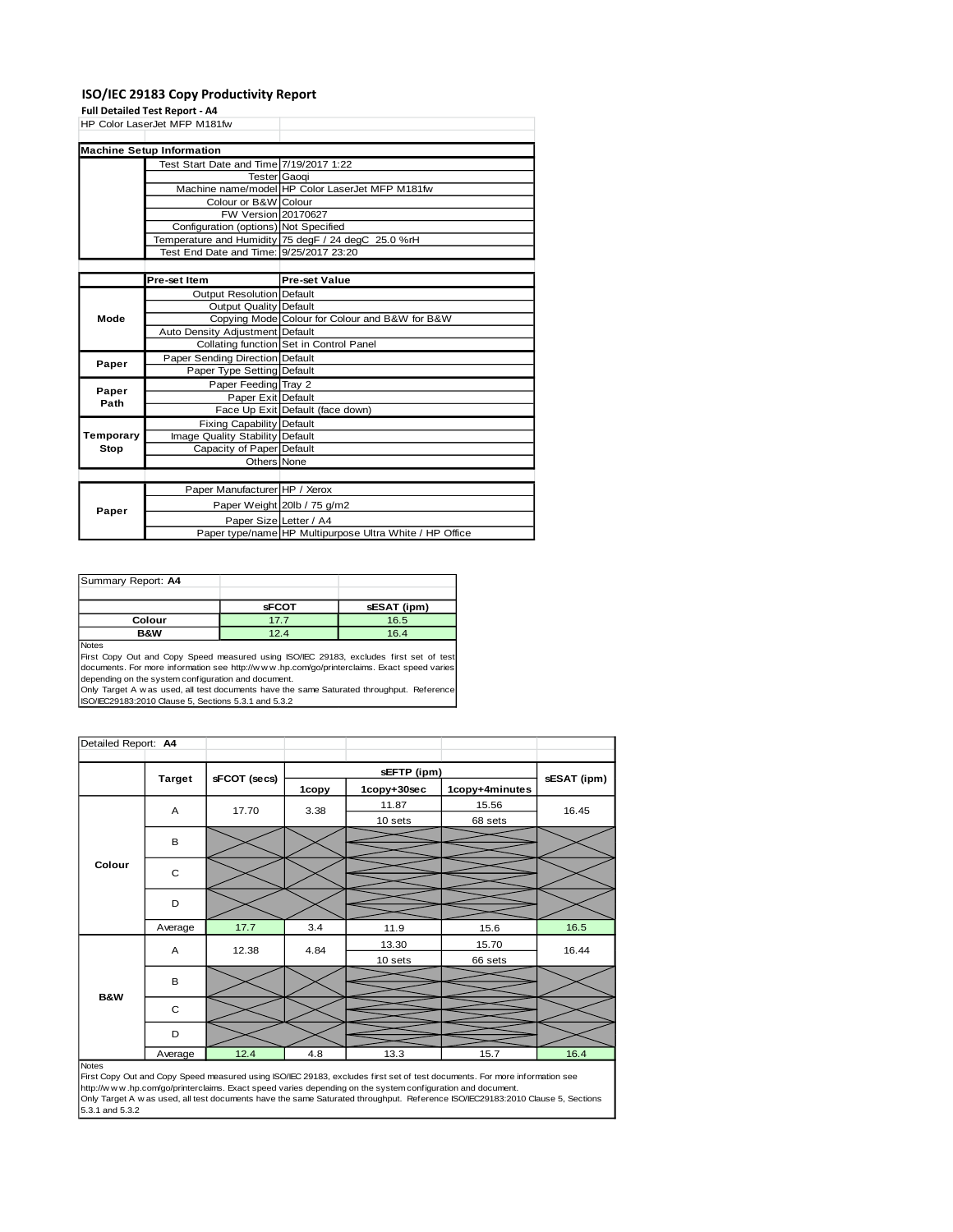## **ISO/IEC 29183 Copy Productivity Report**

**Full Detailed Test Report - A4**

|           | HP Color LaserJet MFP M181fw            |                                                         |
|-----------|-----------------------------------------|---------------------------------------------------------|
|           |                                         |                                                         |
|           | <b>Machine Setup Information</b>        |                                                         |
|           | Test Start Date and Time 7/19/2017 1:22 |                                                         |
|           | <b>Tester</b> Gaogi                     |                                                         |
|           |                                         | Machine name/model HP Color LaserJet MFP M181fw         |
|           | Colour or B&W Colour                    |                                                         |
|           | FW Version 20170627                     |                                                         |
|           | Configuration (options) Not Specified   |                                                         |
|           |                                         | Temperature and Humidity 75 degF / 24 degC 25.0 %rH     |
|           | Test End Date and Time: 9/25/2017 23:20 |                                                         |
|           |                                         |                                                         |
|           | Pre-set Item                            | <b>Pre-set Value</b>                                    |
|           | Output Resolution Default               |                                                         |
| Mode      | Output Quality Default                  |                                                         |
|           |                                         | Copying Mode Colour for Colour and B&W for B&W          |
|           | Auto Density Adjustment Default         |                                                         |
|           |                                         | Collating function Set in Control Panel                 |
| Paper     | Paper Sending Direction Default         |                                                         |
|           | Paper Type Setting Default              |                                                         |
| Paper     | Paper Feeding Tray 2                    |                                                         |
| Path      | Paper Exit Default                      |                                                         |
|           |                                         | Face Up Exit Default (face down)                        |
|           | Fixing Capability Default               |                                                         |
| Temporary | Image Quality Stability Default         |                                                         |
| Stop      | Capacity of Paper Default               |                                                         |
|           | Others None                             |                                                         |
|           |                                         |                                                         |
|           | Paper Manufacturer HP / Xerox           |                                                         |
| Paper     |                                         | Paper Weight 20lb / 75 g/m2                             |
|           | Paper Size Letter / A4                  |                                                         |
|           |                                         | Paper type/name HP Multipurpose Ultra White / HP Office |

| Summary Report: A4 |              |             |
|--------------------|--------------|-------------|
|                    |              |             |
|                    | <b>SFCOT</b> | sESAT (ipm) |
| Colour             | 17.7         | 16.5        |
| <b>B&amp;W</b>     | 12.4         | 16.4        |
| Notes              |              |             |

First Copy Out and Copy Speed measured using ISO/IEC 29183, excludes first set of test documents. For more information see http://w w w .hp.com/go/printerclaims. Exact speed varies depending on the system configuration and document.

Only Target A w as used, all test documents have the same Saturated throughput. Reference ISO/IEC29183:2010 Clause 5, Sections 5.3.1 and 5.3.2

| Detailed Report: A4 |               |              |       |             |                |             |
|---------------------|---------------|--------------|-------|-------------|----------------|-------------|
|                     |               |              |       | sEFTP (ipm) |                |             |
|                     | <b>Target</b> | sFCOT (secs) | 1copy | 1copy+30sec | 1copy+4minutes | sESAT (ipm) |
|                     | A             | 17.70        | 3.38  | 11.87       | 15.56          | 16.45       |
|                     |               |              |       | 10 sets     | 68 sets        |             |
| Colour              | B             |              |       |             |                |             |
|                     | $\mathbf C$   |              |       |             |                |             |
|                     | D             |              |       |             |                |             |
|                     | Average       | 17.7         | 3.4   | 11.9        | 15.6           | 16.5        |
|                     | A             | 12.38        | 4.84  | 13.30       | 15.70          | 16.44       |
|                     |               |              |       | 10 sets     | 66 sets        |             |
|                     | B             |              |       |             |                |             |
| B&W                 | $\mathbf C$   |              |       |             |                |             |
|                     | D             |              |       |             |                |             |
| <b>Notes</b>        | Average       | 12.4         | 4.8   | 13.3        | 15.7           | 16.4        |

Notes<br>First Copy Out and Copy Speed measured using ISO/IEC 29183, excludes first set of test documents. For more information see<br>http://www.hp.com/go/printerclaims. Exact speed varies depending on the system configuration Only Target A w as used, all test documents have the same Saturated throughput. Reference ISO/IEC29183:2010 Clause 5, Sections<br>5.3.1 and 5.3.2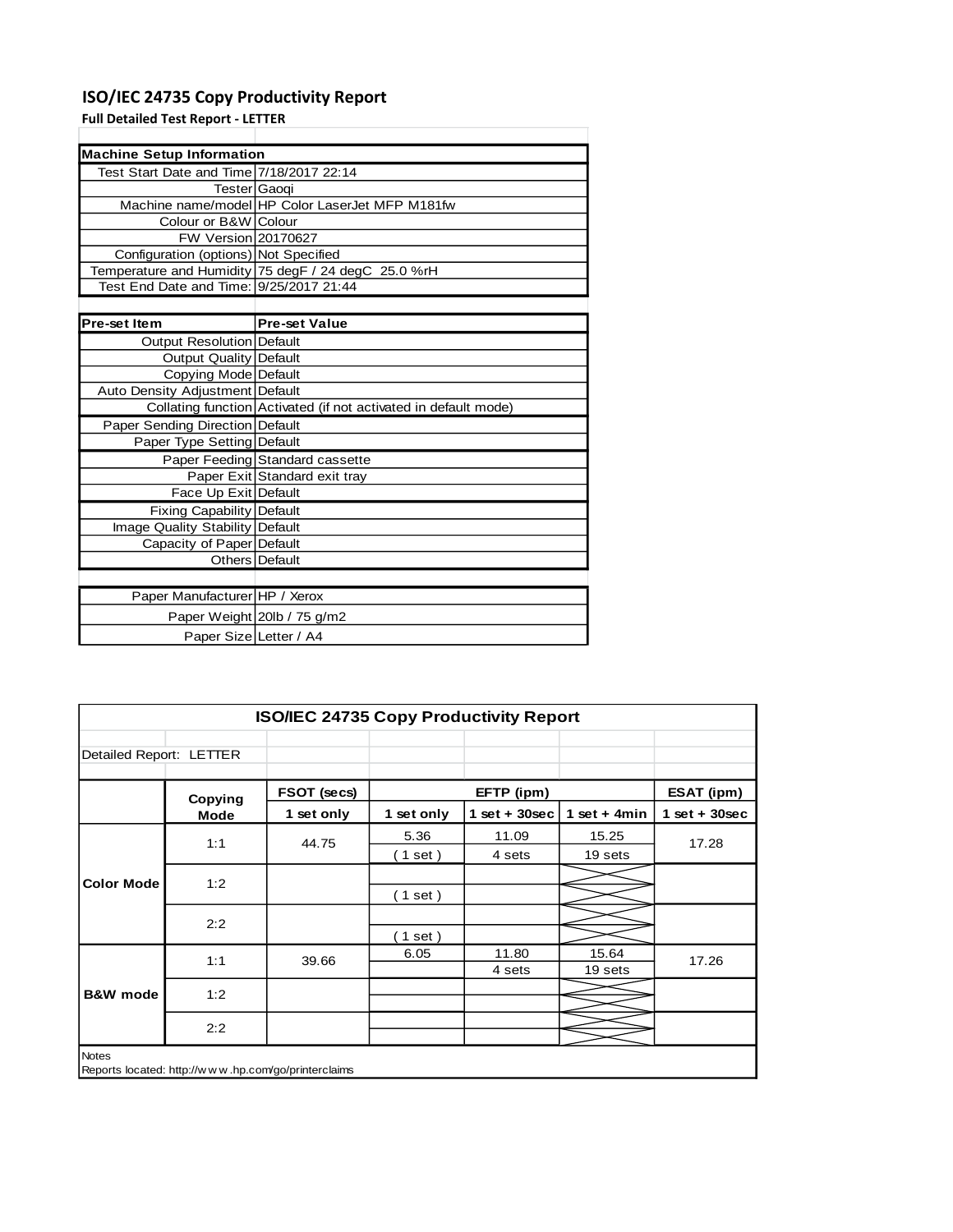## **ISO/IEC 24735 Copy Productivity Report**

**Full Detailed Test Report - LETTER**

| <b>Machine Setup Information</b>         |                                                                 |
|------------------------------------------|-----------------------------------------------------------------|
| Test Start Date and Time 7/18/2017 22:14 |                                                                 |
| Tester Gaogi                             |                                                                 |
|                                          | Machine name/model HP Color LaserJet MFP M181fw                 |
| Colour or B&W Colour                     |                                                                 |
| FW Version 20170627                      |                                                                 |
| Configuration (options) Not Specified    |                                                                 |
|                                          | Temperature and Humidity 75 degF / 24 degC 25.0 %rH             |
| Test End Date and Time: 9/25/2017 21:44  |                                                                 |
|                                          |                                                                 |
| Pre-set Item                             | <b>Pre-set Value</b>                                            |
| <b>Output Resolution Default</b>         |                                                                 |
| Output Quality Default                   |                                                                 |
| Copying Mode Default                     |                                                                 |
| Auto Density Adjustment Default          |                                                                 |
|                                          | Collating function Activated (if not activated in default mode) |
| Paper Sending Direction Default          |                                                                 |
| Paper Type Setting Default               |                                                                 |
|                                          | Paper Feeding Standard cassette                                 |
|                                          | Paper Exit Standard exit tray                                   |
| Face Up Exit Default                     |                                                                 |
| <b>Fixing Capability Default</b>         |                                                                 |
| Image Quality Stability Default          |                                                                 |
| Capacity of Paper Default                |                                                                 |
|                                          | Others Default                                                  |
|                                          |                                                                 |
| Paper Manufacturer HP / Xerox            |                                                                 |
|                                          | Paper Weight 20lb / 75 g/m2                                     |
| Paper Size Letter / A4                   |                                                                 |

|                         | <b>ISO/IEC 24735 Copy Productivity Report</b> |                                                     |            |                 |                 |                 |  |  |
|-------------------------|-----------------------------------------------|-----------------------------------------------------|------------|-----------------|-----------------|-----------------|--|--|
| Detailed Report: LETTER |                                               |                                                     |            |                 |                 |                 |  |  |
|                         | Copying                                       | FSOT (secs)                                         |            | EFTP (ipm)      |                 | ESAT (ipm)      |  |  |
|                         | Mode                                          | 1 set only                                          | 1 set only | $1$ set + 30sec | 1 set + 4 $min$ | $1$ set + 30sec |  |  |
| <b>Color Mode</b>       | 1:1                                           | 44.75                                               | 5.36       | 11.09           | 15.25           | 17.28           |  |  |
|                         |                                               |                                                     | (1 set)    | 4 sets          | 19 sets         |                 |  |  |
|                         | 1:2                                           |                                                     |            |                 |                 |                 |  |  |
|                         |                                               |                                                     | (1 set)    |                 |                 |                 |  |  |
|                         | 2:2                                           |                                                     |            |                 |                 |                 |  |  |
|                         |                                               |                                                     | (1 set)    |                 |                 |                 |  |  |
|                         | 1:1                                           | 39.66                                               | 6.05       | 11.80           | 15.64           | 17.26           |  |  |
|                         |                                               |                                                     |            | 4 sets          | 19 sets         |                 |  |  |
| <b>B&amp;W</b> mode     | 1:2                                           |                                                     |            |                 |                 |                 |  |  |
|                         |                                               |                                                     |            |                 |                 |                 |  |  |
|                         | 2:2                                           |                                                     |            |                 |                 |                 |  |  |
| <b>Notes</b>            |                                               |                                                     |            |                 |                 |                 |  |  |
|                         |                                               | Reports located: http://www.hp.com/go/printerclaims |            |                 |                 |                 |  |  |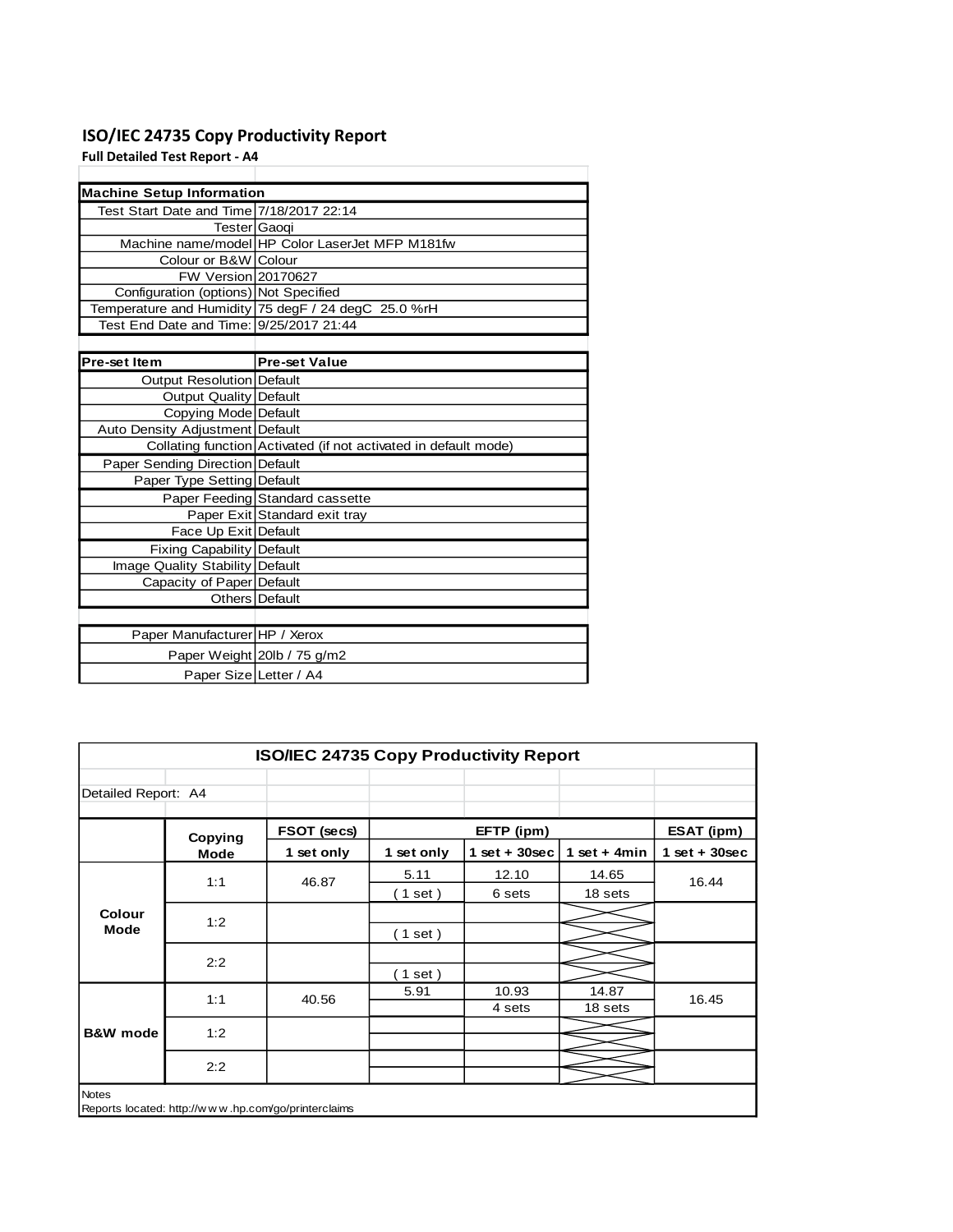## **ISO/IEC 24735 Copy Productivity Report**

**Full Detailed Test Report - A4**

| <b>Machine Setup Information</b>         |                                                                 |
|------------------------------------------|-----------------------------------------------------------------|
| Test Start Date and Time 7/18/2017 22:14 |                                                                 |
|                                          | Tester Gaoqi                                                    |
|                                          | Machine name/model HP Color LaserJet MFP M181fw                 |
| Colour or B&W Colour                     |                                                                 |
| FW Version 20170627                      |                                                                 |
| Configuration (options) Not Specified    |                                                                 |
|                                          | Temperature and Humidity 75 degF / 24 degC 25.0 %rH             |
| Test End Date and Time: 9/25/2017 21:44  |                                                                 |
|                                          |                                                                 |
| Pre-set Item                             | <b>Pre-set Value</b>                                            |
| <b>Output Resolution Default</b>         |                                                                 |
| <b>Output Quality Default</b>            |                                                                 |
| Copying Mode Default                     |                                                                 |
| <b>Auto Density Adjustment Default</b>   |                                                                 |
|                                          | Collating function Activated (if not activated in default mode) |
| Paper Sending Direction Default          |                                                                 |
| Paper Type Setting Default               |                                                                 |
|                                          | Paper Feeding Standard cassette                                 |
|                                          | Paper Exit Standard exit tray                                   |
| Face Up Exit Default                     |                                                                 |
| <b>Fixing Capability Default</b>         |                                                                 |
| Image Quality Stability Default          |                                                                 |
| Capacity of Paper Default                |                                                                 |
|                                          | Others Default                                                  |
|                                          |                                                                 |
| Paper Manufacturer HP / Xerox            |                                                                 |
|                                          | Paper Weight 20lb / 75 g/m2                                     |
| Paper Size Letter / A4                   |                                                                 |

| <b>ISO/IEC 24735 Copy Productivity Report</b> |         |                                                        |            |                 |                |                 |       |  |
|-----------------------------------------------|---------|--------------------------------------------------------|------------|-----------------|----------------|-----------------|-------|--|
| Detailed Report: A4                           |         |                                                        |            |                 |                |                 |       |  |
|                                               | Copying | FSOT (secs)                                            |            | EFTP (ipm)      |                | ESAT (ipm)      |       |  |
|                                               | Mode    | 1 set only                                             | 1 set only | $1$ set + 30sec | 1 set + $4min$ | $1$ set + 30sec |       |  |
| Colour<br><b>Mode</b>                         | 1:1     | 46.87                                                  | 5.11       | 12.10           | 14.65          | 16.44           |       |  |
|                                               |         |                                                        | $1$ set)   | 6 sets          | 18 sets        |                 |       |  |
|                                               | 1:2     |                                                        |            |                 |                |                 |       |  |
|                                               |         |                                                        | $1$ set)   |                 |                |                 |       |  |
|                                               | 2:2     |                                                        |            |                 |                |                 |       |  |
|                                               |         |                                                        | $1$ set)   |                 |                |                 |       |  |
|                                               | 1:1     |                                                        | 40.56      | 5.91            | 10.93          | 14.87           | 16.45 |  |
|                                               |         |                                                        |            | 4 sets          | 18 sets        |                 |       |  |
| <b>B&amp;W</b> mode                           | 1:2     |                                                        |            |                 |                |                 |       |  |
|                                               |         |                                                        |            |                 |                |                 |       |  |
|                                               | 2:2     |                                                        |            |                 |                |                 |       |  |
| <b>Notes</b>                                  |         | Reports located: http://w w w .hp.com/go/printerclaims |            |                 |                |                 |       |  |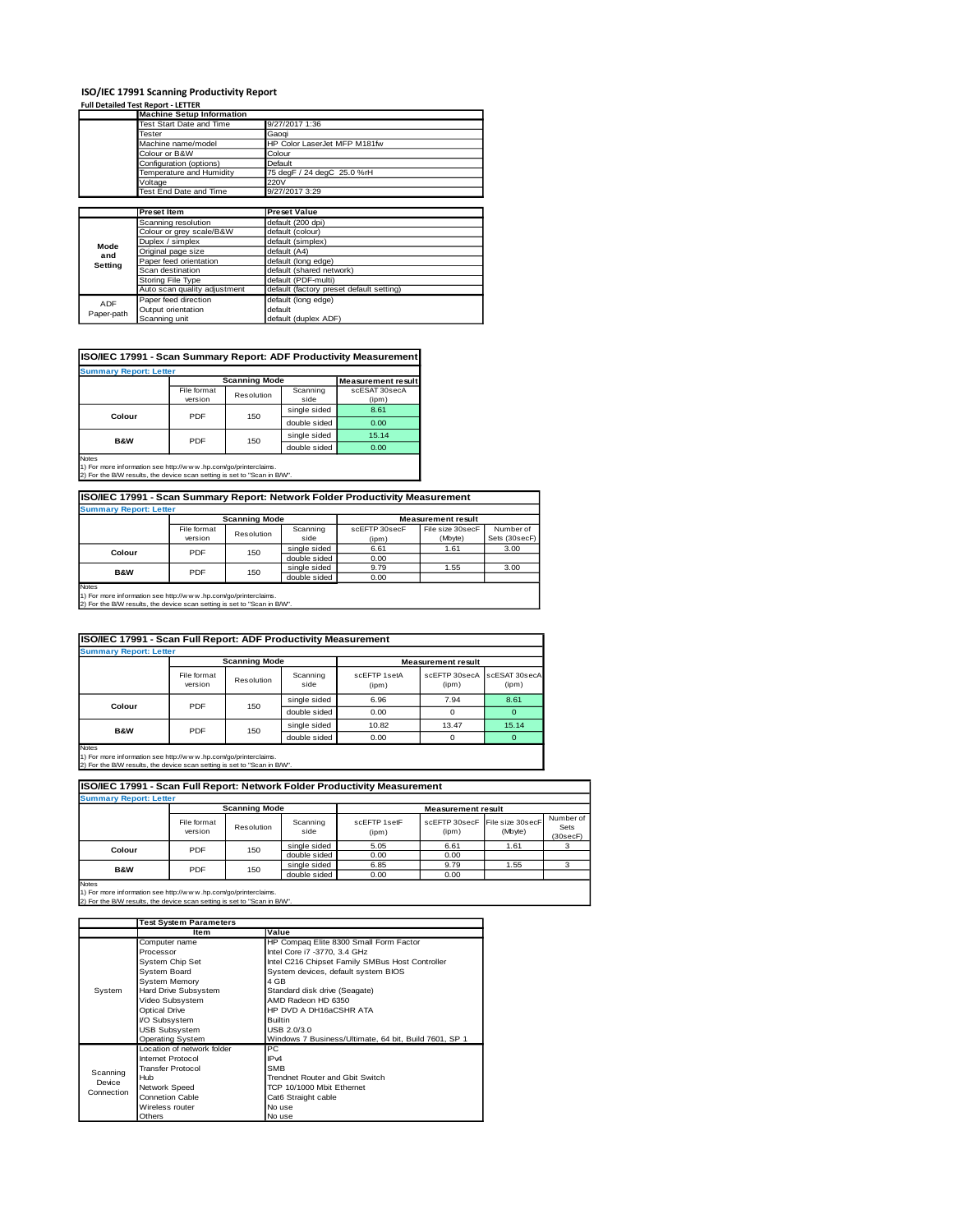## **ISO/IEC 17991 Scanning Productivity Report Full Detailed Test Report - LETTER**

|            | <u>ruli Detalleu Test Rebolt - EETTER</u> |                                          |
|------------|-------------------------------------------|------------------------------------------|
|            | <b>Machine Setup Information</b>          |                                          |
|            | Test Start Date and Time                  | 9/27/2017 1:36                           |
|            | Tester                                    | Gaogi                                    |
|            | Machine name/model                        | HP Color LaserJet MFP M181fw             |
|            | Colour or B&W                             | Colour                                   |
|            | Configuration (options)                   | Default                                  |
|            | Temperature and Humidity                  | 75 degF / 24 degC 25.0 %rH               |
|            | Voltage                                   | 220V                                     |
|            | Test End Date and Time                    | 9/27/2017 3:29                           |
|            |                                           |                                          |
|            | <b>Preset Item</b>                        | <b>Preset Value</b>                      |
|            | Scanning resolution                       | default (200 dpi)                        |
|            | Colour or grey scale/B&W                  | default (colour)                         |
| Mode       | Duplex / simplex                          | default (simplex)                        |
| and        | Original page size                        | default (A4)                             |
| Setting    | Paper feed orientation                    | default (long edge)                      |
|            | Scan destination                          | default (shared network)                 |
|            | Storing File Type                         | default (PDF-multi)                      |
|            | Auto scan quality adjustment              | default (factory preset default setting) |
| <b>ADF</b> | Paper feed direction                      | default (long edge)                      |
| Paper-path | Output orientation                        | default                                  |
|            | Scanning unit                             | default (duplex ADF)                     |

### **ISO/IEC 17991 - Scan Summary Report: ADF Productivity Measurement**

| <b>Summary Report: Letter</b> |                        |            |                  |                           |  |  |
|-------------------------------|------------------------|------------|------------------|---------------------------|--|--|
|                               | <b>Scanning Mode</b>   |            |                  | <b>Measurement result</b> |  |  |
|                               | File format<br>version | Resolution | Scanning<br>side | scESAT 30secA<br>(ipm)    |  |  |
|                               |                        | 150        | single sided     | 8.61                      |  |  |
| Colour                        | PDF                    |            | double sided     | 0.00                      |  |  |
|                               | PDF                    | 150        | single sided     | 15.14                     |  |  |
| <b>B&amp;W</b>                |                        |            | double sided     | 0.00                      |  |  |
| Notee                         |                        |            |                  |                           |  |  |

Notes 1) For more information see http://w w w .hp.com/go/printerclaims. 2) For the B/W results, the device scan setting is set to "Scan in B/W".

#### **ISO/IEC 17991 - Scan Summary Report: Network Folder Productivity Measurement Summary Report: Letter**

|                |                           | <b>Scanning Mode</b> | <b>Measurement result</b> |               |                  |               |
|----------------|---------------------------|----------------------|---------------------------|---------------|------------------|---------------|
|                | File format<br>Resolution |                      | Scanning                  | scEFTP 30secF | File size 30secF | Number of     |
|                | version                   |                      | side                      | (ipm)         | (Mbyte)          | Sets (30secF) |
| Colour         | 150<br><b>PDF</b>         |                      | single sided              | 6.61          | 1.61             | 3.00          |
|                |                           |                      | double sided              | 0.00          |                  |               |
| <b>B&amp;W</b> | PDF                       | 150                  | single sided              | 9.79          | 1.55             | 3.00          |
|                |                           |                      | double sided              | 0.00          |                  |               |
| <b>Notes</b>   |                           |                      |                           |               |                  |               |

Notes 1) For more information see http://w w w .hp.com/go/printerclaims. 2) For the B/W results, the device scan setting is set to "Scan in B/W".

| <b>Summary Report: Letter</b> |                        |                      |                  |                       |                           |                        |
|-------------------------------|------------------------|----------------------|------------------|-----------------------|---------------------------|------------------------|
|                               |                        | <b>Scanning Mode</b> |                  |                       | <b>Measurement result</b> |                        |
|                               | File format<br>version | Resolution           | Scanning<br>side | scFFTP 1setA<br>(ipm) | scFFTP 30secA<br>(ipm)    | scESAT 30secA<br>(ipm) |
| Colour                        | PDF                    | 150                  | single sided     | 6.96                  | 7.94                      | 8.61                   |
|                               |                        |                      | double sided     | 0.00                  | $\Omega$                  | $\Omega$               |
| <b>B&amp;W</b>                | PDF                    | 150                  | single sided     | 10.82                 | 13.47                     | 15.14                  |
|                               |                        |                      | double sided     | 0.00                  | $\Omega$                  | $\Omega$               |

Notes 1) For more information see http://w w w .hp.com/go/printerclaims. 2) For the B/W results, the device scan setting is set to "Scan in B/W".

| ISO/IEC 17991 - Scan Full Report: Network Folder Productivity Measurement |                                                   |            |                  |                       |       |                                           |                               |
|---------------------------------------------------------------------------|---------------------------------------------------|------------|------------------|-----------------------|-------|-------------------------------------------|-------------------------------|
| <b>Summary Report: Letter</b>                                             |                                                   |            |                  |                       |       |                                           |                               |
|                                                                           | <b>Scanning Mode</b><br><b>Measurement result</b> |            |                  |                       |       |                                           |                               |
|                                                                           | File format<br>version                            | Resolution | Scanning<br>side | scEFTP 1setF<br>(ipm) | (ipm) | scEFTP 30secF File size 30secF<br>(Mbyte) | Number of<br>Sets<br>(30secF) |
| Colour                                                                    | PDF                                               | 150        | single sided     | 5.05                  | 6.61  | 1.61                                      |                               |
|                                                                           |                                                   |            | double sided     | 0.00                  | 0.00  |                                           |                               |
| <b>B&amp;W</b>                                                            | PDF                                               |            | single sided     | 6.85                  | 9.79  | 1.55                                      |                               |
|                                                                           |                                                   | 150        | double sided     | 0.00                  | 0.00  |                                           |                               |
| <b>Nickou</b>                                                             |                                                   |            |                  |                       |       |                                           |                               |

Notes 1) For more information see http://w w w .hp.com/go/printerclaims. 2) For the B/W results, the device scan setting is set to "Scan in B/W".

|                      | <b>Test System Parameters</b> |                                                       |  |  |
|----------------------|-------------------------------|-------------------------------------------------------|--|--|
|                      | Item                          | Value                                                 |  |  |
|                      | Computer name                 | HP Compaq Elite 8300 Small Form Factor                |  |  |
|                      | Processor                     | Intel Core i7 -3770, 3.4 GHz                          |  |  |
|                      | System Chip Set               | Intel C216 Chipset Family SMBus Host Controller       |  |  |
|                      | System Board                  | System devices, default system BIOS                   |  |  |
|                      | <b>System Memory</b>          | 4 GB                                                  |  |  |
| System               | Hard Drive Subsystem          | Standard disk drive (Seagate)                         |  |  |
|                      | Video Subsystem               | AMD Radeon HD 6350                                    |  |  |
|                      | Optical Drive                 | HP DVD A DH16aCSHR ATA                                |  |  |
|                      | I/O Subsystem                 | <b>Builtin</b>                                        |  |  |
|                      | <b>USB Subsystem</b>          | USB 2.0/3.0                                           |  |  |
|                      | <b>Operating System</b>       | Windows 7 Business/Ultimate, 64 bit, Build 7601, SP 1 |  |  |
|                      | Location of network folder    | PC.                                                   |  |  |
|                      | Internet Protocol             | IP <sub>v4</sub>                                      |  |  |
| Scanning             | <b>Transfer Protocol</b>      | <b>SMB</b>                                            |  |  |
| Device<br>Connection | Hub                           | Trendnet Router and Gbit Switch                       |  |  |
|                      | Network Speed                 | TCP 10/1000 Mbit Ethernet                             |  |  |
|                      | <b>Connetion Cable</b>        | Cat6 Straight cable                                   |  |  |
|                      | Wireless router               | No use                                                |  |  |
|                      | Others                        | No use                                                |  |  |